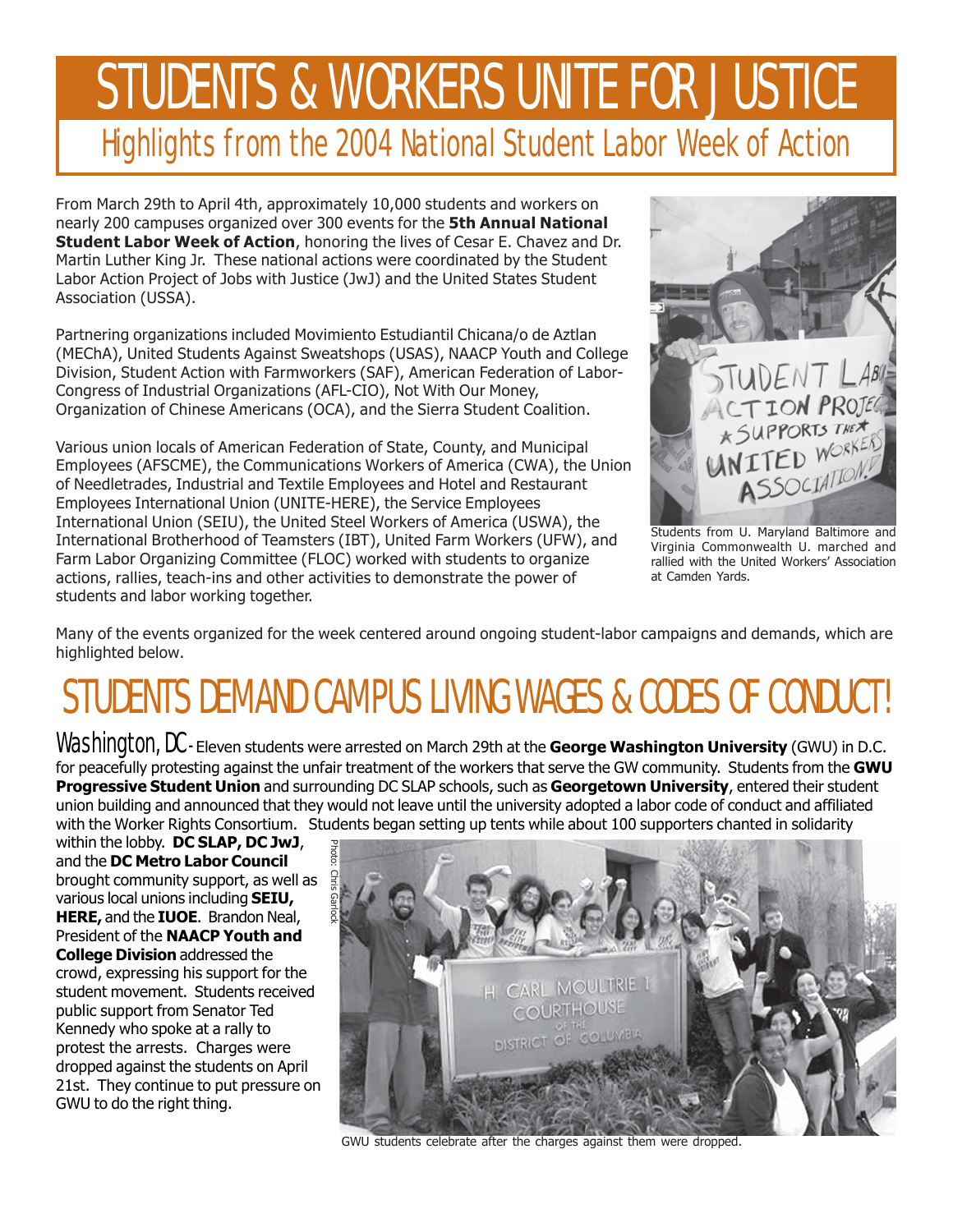# STUDENTS & WORKERS UNITE FOR JUSTICE Highlights from the 2004 National Student Labor Week of Action

From March 29th to April 4th, approximately 10,000 students and workers on nearly 200 campuses organized over 300 events for the **5th Annual National Student Labor Week of Action**, honoring the lives of Cesar E. Chavez and Dr. Martin Luther King Jr. These national actions were coordinated by the Student Labor Action Project of Jobs with Justice (JwJ) and the United States Student Association (USSA).

Partnering organizations included Movimiento Estudiantil Chicana/o de Aztlan (MEChA), United Students Against Sweatshops (USAS), NAACP Youth and College Division, Student Action with Farmworkers (SAF), American Federation of Labor-Congress of Industrial Organizations (AFL-CIO), Not With Our Money, Organization of Chinese Americans (OCA), and the Sierra Student Coalition.

Various union locals of American Federation of State, County, and Municipal Employees (AFSCME), the Communications Workers of America (CWA), the Union of Needletrades, Industrial and Textile Employees and Hotel and Restaurant Employees International Union (UNITE-HERE), the Service Employees International Union (SEIU), the United Steel Workers of America (USWA), the International Brotherhood of Teamsters (IBT), United Farm Workers (UFW), and Farm Labor Organizing Committee (FLOC) worked with students to organize actions, rallies, teach-ins and other activities to demonstrate the power of students and labor working together.



Students from U. Maryland Baltimore and Virginia Commonwealth U. marched and rallied with the United Workers' Association at Camden Yards.

Many of the events organized for the week centered around ongoing student-labor campaigns and demands, which are highlighted below.

## STUDENTS DEMAND CAMPUS LIVING WAGES & CODES OF CONDUCT!

Washington, DC - Eleven students were arrested on March 29th at the **George Washington University** (GWU) in D.C. for peacefully protesting against the unfair treatment of the workers that serve the GW community. Students from the **GWU Progressive Student Union** and surrounding DC SLAP schools, such as **Georgetown University**, entered their student union building and announced that they would not leave until the university adopted a labor code of conduct and affiliated with the Worker Rights Consortium. Students began setting up tents while about 100 supporters chanted in solidarity

within the lobby. **DC SLAP, DC JwJ**, and the **DC Metro Labor Council** brought community support, as well as various local unions including **SEIU, HERE,** and the **IUOE**. Brandon Neal, President of the **NAACP Youth and College Division** addressed the crowd, expressing his support for the student movement. Students received public support from Senator Ted Kennedy who spoke at a rally to protest the arrests. Charges were dropped against the students on April 21st. They continue to put pressure on GWU to do the right thing.



GWU students celebrate after the charges against them were dropped.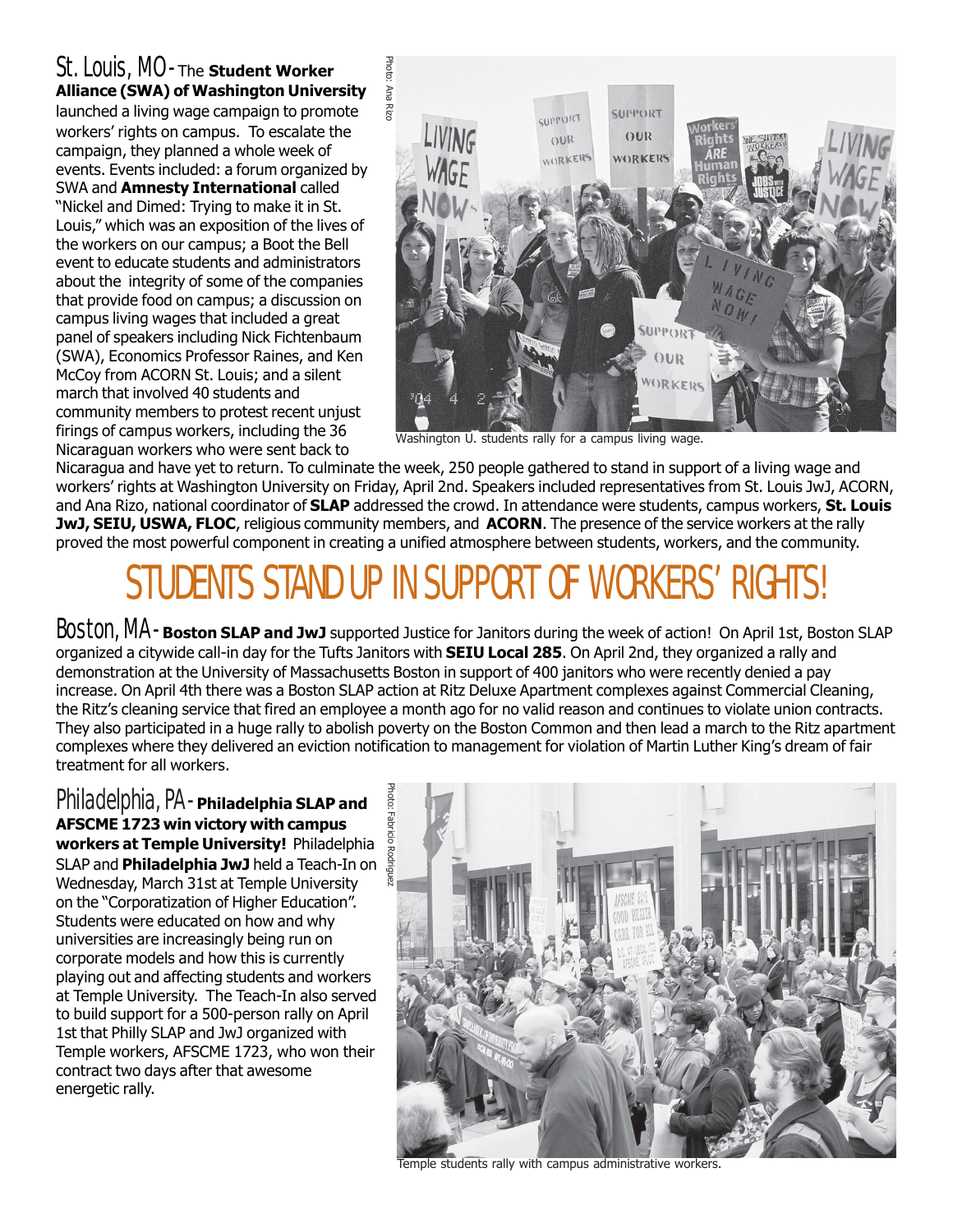### St. Louis, MO - The **Student Worker Alliance (SWA) of Washington University**

launched a living wage campaign to promote workers' rights on campus. To escalate the campaign, they planned a whole week of events. Events included: a forum organized by SWA and **Amnesty International** called "Nickel and Dimed: Trying to make it in St. Louis," which was an exposition of the lives of the workers on our campus; a Boot the Bell event to educate students and administrators about the integrity of some of the companies that provide food on campus; a discussion on campus living wages that included a great panel of speakers including Nick Fichtenbaum (SWA), Economics Professor Raines, and Ken McCoy from ACORN St. Louis; and a silent march that involved 40 students and community members to protest recent unjust firings of campus workers, including the 36 Nicaraguan workers who were sent back to



Washington U. students rally for a campus living wage.

Nicaragua and have yet to return. To culminate the week, 250 people gathered to stand in support of a living wage and workers' rights at Washington University on Friday, April 2nd. Speakers included representatives from St. Louis JwJ, ACORN, and Ana Rizo, national coordinator of **SLAP** addressed the crowd. In attendance were students, campus workers, **St. Louis JwJ, SEIU, USWA, FLOC**, religious community members, and **ACORN**. The presence of the service workers at the rally proved the most powerful component in creating a unified atmosphere between students, workers, and the community.

## STUDENTS STAND UP IN SUPPORT OF WORKERS' RIGHTS!

Boston, MA - **Boston SLAP and JwJ** supported Justice for Janitors during the week of action! On April 1st, Boston SLAP organized a citywide call-in day for the Tufts Janitors with **SEIU Local 285**. On April 2nd, they organized a rally and demonstration at the University of Massachusetts Boston in support of 400 janitors who were recently denied a pay increase. On April 4th there was a Boston SLAP action at Ritz Deluxe Apartment complexes against Commercial Cleaning, the Ritzís cleaning service that fired an employee a month ago for no valid reason and continues to violate union contracts. They also participated in a huge rally to abolish poverty on the Boston Common and then lead a march to the Ritz apartment complexes where they delivered an eviction notification to management for violation of Martin Luther Kingís dream of fair treatment for all workers.

Philadelphia, PA - **Philadelphia SLAP and AFSCME 1723 win victory with campus workers at Temple University!** Philadelphia SLAP and **Philadelphia JwJ** held a Teach-In on Wednesday, March 31st at Temple University on the "Corporatization of Higher Education". Students were educated on how and why universities are increasingly being run on corporate models and how this is currently playing out and affecting students and workers at Temple University. The Teach-In also served to build support for a 500-person rally on April 1st that Philly SLAP and JwJ organized with Temple workers, AFSCME 1723, who won their contract two days after that awesome energetic rally.



Temple students rally with campus administrative workers.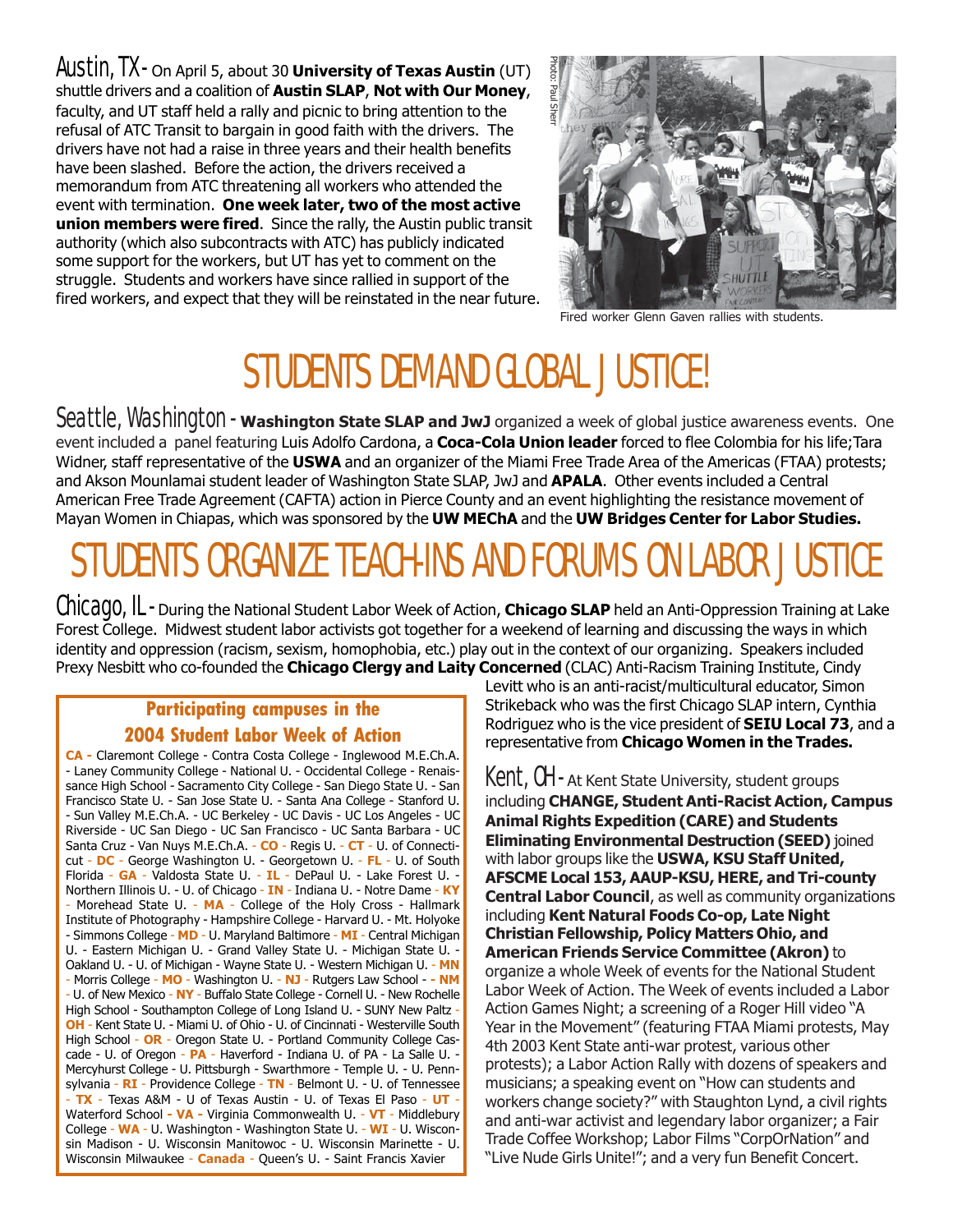Austin, TX - On April 5, about 30 **University of Texas Austin** (UT) shuttle drivers and a coalition of **Austin SLAP**, **Not with Our Money**, faculty, and UT staff held a rally and picnic to bring attention to the refusal of ATC Transit to bargain in good faith with the drivers. The drivers have not had a raise in three years and their health benefits have been slashed. Before the action, the drivers received a memorandum from ATC threatening all workers who attended the event with termination. **One week later, two of the most active union members were fired**. Since the rally, the Austin public transit authority (which also subcontracts with ATC) has publicly indicated some support for the workers, but UT has yet to comment on the struggle. Students and workers have since rallied in support of the fired workers, and expect that they will be reinstated in the near future.



Fired worker Glenn Gaven rallies with students.

### STUDENTS DEMAND GLOBAL JUSTICE!

Seattle, Washington - **Washington State SLAP and JwJ** organized a week of global justice awareness events. One event included a panel featuring Luis Adolfo Cardona, a **Coca-Cola Union leader** forced to flee Colombia for his life;Tara Widner, staff representative of the **USWA** and an organizer of the Miami Free Trade Area of the Americas (FTAA) protests; and Akson Mounlamai student leader of Washington State SLAP, JwJ and **APALA**. Other events included a Central American Free Trade Agreement (CAFTA) action in Pierce County and an event highlighting the resistance movement of Mayan Women in Chiapas, which was sponsored by the **UW MEChA** and the **UW Bridges Center for Labor Studies.**

# STUDENTS ORGANIZE TEACH-INS AND FORUMS ON LABOR JUSTICE

Chicago, IL - During the National Student Labor Week of Action, **Chicago SLAP** held an Anti-Oppression Training at Lake Forest College. Midwest student labor activists got together for a weekend of learning and discussing the ways in which identity and oppression (racism, sexism, homophobia, etc.) play out in the context of our organizing. Speakers included Prexy Nesbitt who co-founded the **Chicago Clergy and Laity Concerned** (CLAC) Anti-Racism Training Institute, Cindy

#### **Participating campuses in the 2004 Student Labor Week of Action**

**CA -** Claremont College - Contra Costa College - Inglewood M.E.Ch.A. - Laney Community College - National U. - Occidental College - Renaissance High School - Sacramento City College - San Diego State U. - San Francisco State U. - San Jose State U. - Santa Ana College - Stanford U. - Sun Valley M.E.Ch.A. - UC Berkeley - UC Davis - UC Los Angeles - UC Riverside - UC San Diego - UC San Francisco - UC Santa Barbara - UC Santa Cruz - Van Nuys M.E.Ch.A. - **CO** - Regis U. - **CT** - U. of Connecticut - **DC** - George Washington U. - Georgetown U. - **FL** - U. of South Florida - **GA** - Valdosta State U. - **IL** - DePaul U. - Lake Forest U. - Northern Illinois U. - U. of Chicago - **IN** - Indiana U. - Notre Dame - **KY** - Morehead State U. - **MA** - College of the Holy Cross - Hallmark Institute of Photography - Hampshire College - Harvard U. - Mt. Holyoke - Simmons College - **MD** - U. Maryland Baltimore - **MI** - Central Michigan U. - Eastern Michigan U. - Grand Valley State U. - Michigan State U. - Oakland U. - U. of Michigan - Wayne State U. - Western Michigan U. - **MN** - Morris College - **MO** - Washington U. - **NJ** - Rutgers Law School - **- NM** - U. of New Mexico - **NY** - Buffalo State College - Cornell U. - New Rochelle High School - Southampton College of Long Island U. - SUNY New Paltz -**OH** - Kent State U. - Miami U. of Ohio - U. of Cincinnati - Westerville South High School - **OR** - Oregon State U. - Portland Community College Cascade - U. of Oregon - **PA** - Haverford - Indiana U. of PA - La Salle U. - Mercyhurst College - U. Pittsburgh - Swarthmore - Temple U. - U. Pennsylvania - **RI** - Providence College - **TN** - Belmont U. - U. of Tennessee - **TX** - Texas A&M - U of Texas Austin - U. of Texas El Paso - **UT** - Waterford School **- VA -** Virginia Commonwealth U. - **VT** - Middlebury College - **WA** - U. Washington - Washington State U. - **WI** - U. Wisconsin Madison - U. Wisconsin Manitowoc - U. Wisconsin Marinette - U. Wisconsin Milwaukee - **Canada** - Queenís U. - Saint Francis Xavier

Levitt who is an anti-racist/multicultural educator, Simon Strikeback who was the first Chicago SLAP intern, Cynthia Rodriguez who is the vice president of **SEIU Local 73**, and a representative from **Chicago Women in the Trades.**

Kent, OH - At Kent State University, student groups including **CHANGE, Student Anti-Racist Action, Campus Animal Rights Expedition (CARE) and Students Eliminating Environmental Destruction (SEED)** joined with labor groups like the **USWA, KSU Staff United, AFSCME Local 153, AAUP-KSU, HERE, and Tri-county Central Labor Council**, as well as community organizations including **Kent Natural Foods Co-op, Late Night Christian Fellowship, Policy Matters Ohio, and American Friends Service Committee (Akron)** to organize a whole Week of events for the National Student Labor Week of Action. The Week of events included a Labor Action Games Night; a screening of a Roger Hill video "A Year in the Movement" (featuring FTAA Miami protests, May 4th 2003 Kent State anti-war protest, various other protests); a Labor Action Rally with dozens of speakers and musicians; a speaking event on "How can students and workers change society?" with Staughton Lynd, a civil rights and anti-war activist and legendary labor organizer; a Fair Trade Coffee Workshop; Labor Films "CorpOrNation" and "Live Nude Girls Unite!"; and a very fun Benefit Concert.